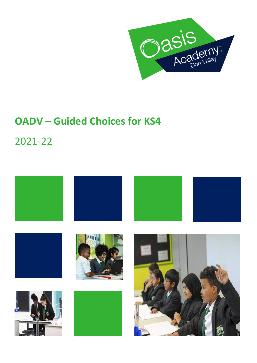

# **OADV – Guided Choices for KS4**

2021-22

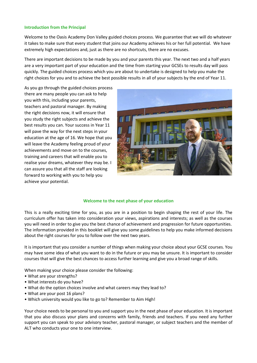### **Introduction from the Principal**

Welcome to the Oasis Academy Don Valley guided choices process. We guarantee that we will do whatever it takes to make sure that every student that joins our Academy achieves his or her full potential. We have extremely high expectations and, just as there are no shortcuts, there are no excuses.

There are important decisions to be made by you and your parents this year. The next two and a half years are a very important part of your education and the time from starting your GCSEs to results day will pass quickly. The guided choices process which you are about to undertake is designed to help you make the right choices for you and to achieve the best possible results in all of your subjects by the end of Year 11.

As you go through the guided choices process there are many people you can ask to help you with this, including your parents, teachers and pastoral manager. By making the right decisions now, it will ensure that you study the right subjects and achieve the best results you can. Your success in Year 11 will pave the way for the next steps in your education at the age of 16. We hope that you will leave the Academy feeling proud of your achievements and move on to the courses, training and careers that will enable you to realise your dreams, whatever they may be. I can assure you that all the staff are looking forward to working with you to help you achieve your potential.



### **Welcome to the next phase of your education**

This is a really exciting time for you, as you are in a position to begin shaping the rest of your life. The curriculum offer has taken into consideration your views, aspirations and interests; as well as the courses you will need in order to give you the best chance of achievement and progression for future opportunities. The information provided in this booklet will give you some guidelines to help you make informed decisions about the right courses for you to follow over the next two years.

It is important that you consider a number of things when making your choice about your GCSE courses. You may have some idea of what you want to do in the future or you may be unsure. It is important to consider courses that will give the best chances to access further learning and give you a broad range of skills.

When making your choice please consider the following:

- What are your strengths?
- What interests do you have?
- What do the option choices involve and what careers may they lead to?
- What are your post 16 plans?
- Which university would you like to go to? Remember to Aim High!

Your choice needs to be personal to you and support you in the next phase of your education. It is important that you also discuss your plans and concerns with family, friends and teachers. If you need any further support you can speak to your advisory teacher, pastoral manager, or subject teachers and the member of ALT who conducts your one to one interview.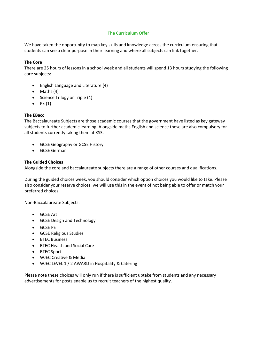### **The Curriculum Offer**

We have taken the opportunity to map key skills and knowledge across the curriculum ensuring that students can see a clear purpose in their learning and where all subjects can link together.

### **The Core**

There are 25 hours of lessons in a school week and all students will spend 13 hours studying the following core subjects:

- English Language and Literature (4)
- Maths (4)
- Science Trilogy or Triple (4)
- $\bullet$  PE (1)

### **The EBacc**

The Baccalaureate Subjects are those academic courses that the government have listed as key gateway subjects to further academic learning. Alongside maths English and science these are also compulsory for all students currently taking them at KS3.

- GCSE Geography or GCSE History
- GCSE German

### **The Guided Choices**

Alongside the core and baccalaureate subjects there are a range of other courses and qualifications.

During the guided choices week, you should consider which option choices you would like to take. Please also consider your reserve choices, we will use this in the event of not being able to offer or match your preferred choices.

Non-Baccalaureate Subjects:

- GCSE Art
- GCSE Design and Technology
- GCSE PE
- GCSE Religious Studies
- BTEC Business
- BTEC Health and Social Care
- BTEC Sport
- WJEC Creative & Media
- WJEC LEVEL 1 / 2 AWARD in Hospitality & Catering

Please note these choices will only run if there is sufficient uptake from students and any necessary advertisements for posts enable us to recruit teachers of the highest quality.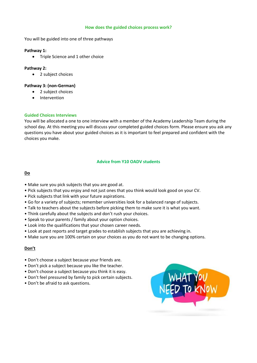### **How does the guided choices process work?**

You will be guided into one of three pathways

### **Pathway 1:**

• Triple Science and 1 other choice

### **Pathway 2:**

• 2 subject choices

### **Pathway 3: (non-German)**

- 2 subject choices
- Intervention

### **Guided Choices Interviews**

You will be allocated a one to one interview with a member of the Academy Leadership Team during the school day. At this meeting you will discuss your completed guided choices form. Please ensure you ask any questions you have about your guided choices as it is important to feel prepared and confident with the choices you make.

### **Advice from Y10 OADV students**

### **Do**

- Make sure you pick subjects that you are good at.
- Pick subjects that you enjoy and not just ones that you think would look good on your CV.
- Pick subjects that link with your future aspirations.
- Go for a variety of subjects; remember universities look for a balanced range of subjects.
- Talk to teachers about the subjects before picking them to make sure it is what you want.
- Think carefully about the subjects and don't rush your choices.
- Speak to your parents / family about your option choices.
- Look into the qualifications that your chosen career needs.
- Look at past reports and target grades to establish subjects that you are achieving in.
- Make sure you are 100% certain on your choices as you do not want to be changing options.

### **Don't**

- Don't choose a subject because your friends are.
- Don't pick a subject because you like the teacher.
- Don't choose a subject because you think it is easy.
- Don't feel pressured by family to pick certain subjects.
- Don't be afraid to ask questions.

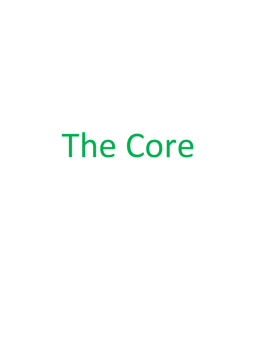# The Core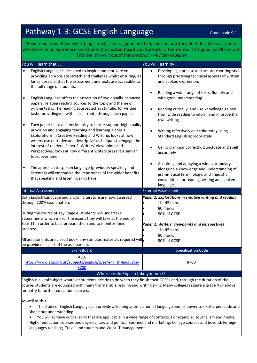# Pathway 1-3: GCSE English Language Grade Scale 9-1

"Read, read, read. Read everything -- trash, classics, good and bad, and see how they do it. Just like a carpenter who works as an apprentice and studies the master. Read! You'll absorb it. Then write. If it's good, you'll find out. If it's not, throw it out of the window." --*William Faulkner*

|                                    | You will learn that                                                                                                                                                                                                                                                                                                                                                                                        |           | You will learn by                                                                                                                                                                              |
|------------------------------------|------------------------------------------------------------------------------------------------------------------------------------------------------------------------------------------------------------------------------------------------------------------------------------------------------------------------------------------------------------------------------------------------------------|-----------|------------------------------------------------------------------------------------------------------------------------------------------------------------------------------------------------|
|                                    | English Language is designed to inspire and motivate you,<br>providing appropriate stretch and challenge whilst ensuring, as<br>far as possible, that the assessment and texts are accessible to<br>the full range of students.                                                                                                                                                                            |           | Developing a precise and accurate writing style<br>through practising technical aspects of written<br>and spoken expression.                                                                   |
| $\bullet$                          | English Language offers the attraction of two equally-balanced<br>papers, relating reading sources to the topic and theme of<br>writing tasks. The reading sources act as stimulus for writing<br>tasks, providingyou with a clear route through each paper.                                                                                                                                               | $\bullet$ | Reading a wide range of texts, fluently and<br>with good understanding<br>Reading critically, and use knowledge gained<br>from wide reading to inform and improve their<br>own writing         |
| $\bullet$                          | Each paper has a distinct identity to better support high quality<br>provision and engaging teaching and learning. Paper 1,<br>Explorations in Creative Reading and Writing, looks at how<br>writers use narrative and descriptive techniques to engage the<br>interest of readers. Paper 2, Writers' Viewpoints and<br>Perspectives, looks at how different writers present a similar<br>topic over time. |           | Writing effectively and coherently using<br>Standard English appropriately<br>Using grammar correctly, punctuate and spell<br>accurately                                                       |
| $\bullet$                          | The approach to spoken language (previously speaking and<br>listening) will emphasise the importance of the wider benefits<br>that speaking and listening skills have.                                                                                                                                                                                                                                     |           | Acquiring and applying a wide vocabulary,<br>alongside a knowledge and understanding of<br>grammatical terminology, and linguistic<br>conventions for reading, writing and spoken<br>language. |
|                                    | <b>Internal Assessment</b>                                                                                                                                                                                                                                                                                                                                                                                 |           | <b>External Assessment</b>                                                                                                                                                                     |
|                                    | Both English Language and English Literature are now assessed<br>through 100% examination.<br>During the course of Key Stage 4, students will undertake<br>assessments which mirror the exams they will take at the end of                                                                                                                                                                                 |           | Paper 1: Explorations in creative writing and reading<br>1hr 45 mins<br>80 marks<br>50% of GCSE                                                                                                |
|                                    | Year 11 in order to best prepare them and to monitor their<br>progress.                                                                                                                                                                                                                                                                                                                                    |           | Paper 2: Writers' viewpoints and perspectives<br>1hr 45 mins                                                                                                                                   |
|                                    | All assessments are closed book: any stimulus materials required will.<br>be provided as part of the assessment.                                                                                                                                                                                                                                                                                           |           | 80 marks<br>50% of GCSE                                                                                                                                                                        |
|                                    | <b>Exam Board</b>                                                                                                                                                                                                                                                                                                                                                                                          |           | <b>Specification Code</b>                                                                                                                                                                      |
|                                    | <b>AQA</b><br>https://www.aqa.org.uk/subjects/english/gcse/english-language-<br>8700                                                                                                                                                                                                                                                                                                                       |           | 8700                                                                                                                                                                                           |
| Where could English take you next? |                                                                                                                                                                                                                                                                                                                                                                                                            |           |                                                                                                                                                                                                |

English is a vital subject whatever students decide to do when they finish their GCSEs and, through the duration of the course, students are equipped with many transferable reading and writing skills. Many colleges require a grade 4 or above for entry to further education courses.

As well as this …

- The study of English Language can provide a lifelong appreciation of language and its power to excite, persuade and shape our understanding.
- You will achieve critical skills that are applicable in a wide range of contexts. For example: Journalism and media, Higher education courses and degrees, Law and politics, Business and marketing, College courses and beyond, Foreign languages teaching, Travel and tourism and Web/ IT management.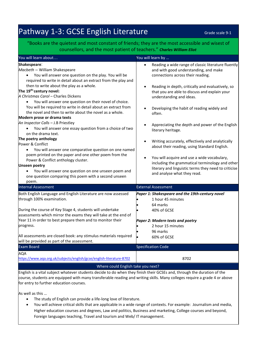# Pathway 1-3: GCSE English Literature Fathway 1-3: GCSE English Literature

### "Books are the quietest and most constant of friends; they are the most accessible and wisest of counsellors, and the most patient of teachers." *Charles William Eliot*

| You will learn about                                                                                                                                                                                                                                       | You will learn by                                                                                                                                                                     |
|------------------------------------------------------------------------------------------------------------------------------------------------------------------------------------------------------------------------------------------------------------|---------------------------------------------------------------------------------------------------------------------------------------------------------------------------------------|
| Shakespeare:<br>Macbeth - William Shakespeare<br>You will answer one question on the play. You will be<br>required to write in detail about an extract from the play and                                                                                   | Reading a wide range of classic literature fluently<br>and with good understanding, and make<br>connections across their reading.                                                     |
| then to write about the play as a whole.<br>The 19 <sup>th-</sup> century novel:<br>A Christmas Carol - Charles Dickens<br>You will answer one question on their novel of choice.                                                                          | Reading in depth, critically and evaluatively, so<br>that you are able to discuss and explain your<br>understanding and ideas.                                                        |
| You will be required to write in detail about an extract from<br>the novel and then to write about the novel as a whole.<br>Modern prose or drama texts                                                                                                    | Developing the habit of reading widely and<br>often.                                                                                                                                  |
| An Inspector Calls - J.B Priestley<br>You will answer one essay question from a choice of two<br>$\bullet$<br>on the drama text.                                                                                                                           | Appreciating the depth and power of the English<br>literary heritage.                                                                                                                 |
| The poetry anthology<br>Power & Conflict<br>You will answer one comparative question on one named                                                                                                                                                          | Writing accurately, effectively and analytically<br>about their reading, using Standard English.                                                                                      |
| poem printed on the paper and one other poem from the<br>Power & Conflict anthology cluster.<br><b>Unseen poetry</b><br>You will answer one question on one unseen poem and<br>$\bullet$<br>one question comparing this poem with a second unseen<br>poem. | You will acquire and use a wide vocabulary,<br>including the grammatical terminology and other<br>literary and linguistic terms they need to criticise<br>and analyse what they read. |
| <b>Internal Assessment</b>                                                                                                                                                                                                                                 | <b>External Assessment</b>                                                                                                                                                            |
| Both English Language and English Literature are now assessed<br>through 100% examination.                                                                                                                                                                 | Paper 1: Shakespeare and the 19th-century novel<br>1 hour 45 minutes<br>64 marks                                                                                                      |
| During the course of Key Stage 4, students will undertake<br>assessments which mirror the exams they will take at the end of<br>Year 11 in order to best prepare them and to monitor their                                                                 | 40% of GCSE<br>Paper 2: Modern texts and poetry                                                                                                                                       |
| progress.<br>All assessments are closed book: any stimulus materials required                                                                                                                                                                              | 2 hour 15 minutes<br>96 marks<br>60% of GCSE                                                                                                                                          |
| will be provided as part of the assessment.                                                                                                                                                                                                                |                                                                                                                                                                                       |
| <b>Exam Board</b>                                                                                                                                                                                                                                          | <b>Specification Code</b>                                                                                                                                                             |
| AQA<br>https://www.aqa.org.uk/subjects/english/gcse/english-literature-8702                                                                                                                                                                                | 8702                                                                                                                                                                                  |
| Where could English take you next?                                                                                                                                                                                                                         |                                                                                                                                                                                       |

English is a vital subject whatever students decide to do when they finish their GCSEs and, through the duration of the course, students are equipped with many transferable reading and writing skills. Many colleges require a grade 4 or above for entry to further education courses.

As well as this …

- The study of English can provide a life-long love of literature.
- You will achieve critical skills that are applicable in a wide range of contexts. For example: Journalism and media, Higher education courses and degrees, Law and politics, Business and marketing, College courses and beyond, Foreign languages teaching, Travel and tourism and Web/ IT management.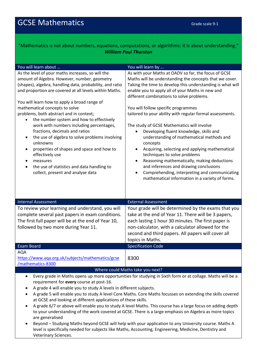### "Mathematics is not about numbers, equations, computations, or algorithms: it is about understanding." *William Paul Thurston*

| You will learn about                                                                                                                                                                                                                                                                                                                                                                                                                                                                                                                                                                                                                                                                                                                                                 | You will learn by                                                                                                                                                                                                                                                                                                                                                                                                                                                                                                                                                                                                                                                                                                                                                                                                                |  |
|----------------------------------------------------------------------------------------------------------------------------------------------------------------------------------------------------------------------------------------------------------------------------------------------------------------------------------------------------------------------------------------------------------------------------------------------------------------------------------------------------------------------------------------------------------------------------------------------------------------------------------------------------------------------------------------------------------------------------------------------------------------------|----------------------------------------------------------------------------------------------------------------------------------------------------------------------------------------------------------------------------------------------------------------------------------------------------------------------------------------------------------------------------------------------------------------------------------------------------------------------------------------------------------------------------------------------------------------------------------------------------------------------------------------------------------------------------------------------------------------------------------------------------------------------------------------------------------------------------------|--|
| As the level of your maths increases, so will the<br>amount of Algebra. However, number, geometry<br>(shapes), algebra, handling data, probability, and ratio<br>and proportion are covered at all levels within Maths.<br>You will learn how to apply a broad range of<br>mathematical concepts to solve<br>problems, both abstract and in context;<br>the number system and how to effectively<br>$\bullet$<br>work with numbers including percentages,<br>fractions, decimals and ratios<br>the use of algebra to solve problems involving<br>٠<br>unknowns<br>properties of shapes and space and how to<br>$\bullet$<br>effectively use<br>measures<br>$\bullet$<br>the use of statistics and data handling to<br>$\bullet$<br>collect, present and analyse data | As with your Maths at OADV so far, the focus of GCSE<br>Maths will be understanding the concepts that we cover.<br>Taking the time to develop this understanding is what will<br>enable you to apply all of your Maths in new and<br>different combinations to solve problems.<br>You will follow specific programmes<br>tailored to your ability with regular formal assessments.<br>The study of GCSE Mathematics will involve<br>Developing fluent knowledge, skills and<br>understanding of mathematical methods and<br>concepts<br>Acquiring, selecting and applying mathematical<br>techniques to solve problems<br>Reasoning mathematically, making deductions<br>and inferences and drawing conclusions<br>Comprehending, interpreting and communicating<br>$\bullet$<br>mathematical information in a variety of forms. |  |
| <b>Internal Assessment</b>                                                                                                                                                                                                                                                                                                                                                                                                                                                                                                                                                                                                                                                                                                                                           | <b>External Assessment</b>                                                                                                                                                                                                                                                                                                                                                                                                                                                                                                                                                                                                                                                                                                                                                                                                       |  |
| To review your learning and understand, you will<br>complete several past papers in exam conditions.<br>The first full paper will be at the end of Year 10,<br>followed by two more during Year 11.                                                                                                                                                                                                                                                                                                                                                                                                                                                                                                                                                                  | Your grade will be determined by the exams that you<br>take at the end of Year 11. There will be 3 papers,<br>each lasting 1 hour 30 minutes. The first paper is<br>non-calculator, with a calculator allowed for the<br>second and third papers. All papers will cover all<br>topics in Maths.                                                                                                                                                                                                                                                                                                                                                                                                                                                                                                                                  |  |
| <b>Exam Board</b>                                                                                                                                                                                                                                                                                                                                                                                                                                                                                                                                                                                                                                                                                                                                                    | <b>Specification Code</b>                                                                                                                                                                                                                                                                                                                                                                                                                                                                                                                                                                                                                                                                                                                                                                                                        |  |
| <b>AQA</b><br>https://www.aqa.org.uk/subjects/mathematics/gcse<br>/mathematics-8300                                                                                                                                                                                                                                                                                                                                                                                                                                                                                                                                                                                                                                                                                  | 8300                                                                                                                                                                                                                                                                                                                                                                                                                                                                                                                                                                                                                                                                                                                                                                                                                             |  |
|                                                                                                                                                                                                                                                                                                                                                                                                                                                                                                                                                                                                                                                                                                                                                                      | Where could Maths take you next?                                                                                                                                                                                                                                                                                                                                                                                                                                                                                                                                                                                                                                                                                                                                                                                                 |  |
| Every grade in Maths opens up more opportunities for studying in Sixth form or at collage. Maths will be a<br>٠<br>requirement for every course at post-16.<br>A grade 4 will enable you to study A levels in different subjects.<br>٠<br>A grade E will anable vou to study A lovel Care Maths, Care Maths focusses on oxtanding the skills sovered                                                                                                                                                                                                                                                                                                                                                                                                                 |                                                                                                                                                                                                                                                                                                                                                                                                                                                                                                                                                                                                                                                                                                                                                                                                                                  |  |

- A grade 5 will enable you to study A level Core Maths. Core Maths focusses on extending the skills covered at GCSE and looking at different applications of these skills.
- A grade 6/7 or above will enable you to study A level Maths. This course has a large focus on adding depth to your understanding of the work covered at GCSE. There is a large emphasis on Algebra as more topics are generalised
- Beyond Studying Maths beyond GCSE will help with your application to any University course. Maths A level is specifically needed for subjects like Maths, Accounting, Engineering, Medicine, Dentistry and Veterinary Sciences.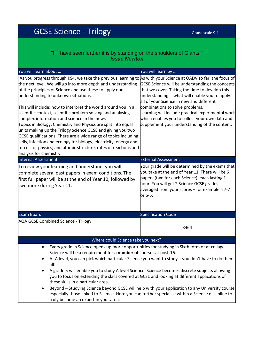# GCSE Science - Trilogy Grade Scale 9-1

### "If I have seen further it is by standing on the shoulders of Giants." *Issac Newton*

| You will learn about                                                                                                                                                                                                                                                                                                                                                                                                                                                                                                                                                                                                                                                                                                                                                                                                                       | You will learn by                                                                                                                                                                                                                                                                                                                                                                          |
|--------------------------------------------------------------------------------------------------------------------------------------------------------------------------------------------------------------------------------------------------------------------------------------------------------------------------------------------------------------------------------------------------------------------------------------------------------------------------------------------------------------------------------------------------------------------------------------------------------------------------------------------------------------------------------------------------------------------------------------------------------------------------------------------------------------------------------------------|--------------------------------------------------------------------------------------------------------------------------------------------------------------------------------------------------------------------------------------------------------------------------------------------------------------------------------------------------------------------------------------------|
| As you progress through KS4, we take the previous learning to As with your Science at OADV so far, the focus of<br>the next level. We will go into more depth and understanding<br>of the principles of Science and use these to apply our<br>understanding to unknown situations.<br>This will include; how to interpret the world around you in a<br>scientific context, scientific problem solving and analysing<br>complex information and science in the news<br>Topics in Biology, Chemistry and Physics are split into equal<br>units making up the Trilogy Science GCSE and giving you two<br>GCSE qualifications. There are a wide range of topics including:<br>cells, infection and ecology for biology; electricity, energy and<br>forces for physics; and atomic structure, rates of reactions and<br>analysis for chemistry. | GCSE Science will be understanding the concepts<br>that we cover. Taking the time to develop this<br>understanding is what will enable you to apply<br>all of your Science in new and different<br>combinations to solve problems.<br>Learning will include practical experimental work<br>which enables you to collect your own data and<br>supplement your understanding of the content. |
| <b>Internal Assessment</b>                                                                                                                                                                                                                                                                                                                                                                                                                                                                                                                                                                                                                                                                                                                                                                                                                 | <b>External Assessment</b>                                                                                                                                                                                                                                                                                                                                                                 |
| To review your learning and understand, you will<br>complete several past papers in exam conditions. The<br>first full paper will be at the end of Year 10, followed by<br>two more during Year 11.                                                                                                                                                                                                                                                                                                                                                                                                                                                                                                                                                                                                                                        | Your grade will be determined by the exams that<br>you take at the end of Year 11. There will be 6<br>papers (two for each Science), each lasting 1<br>hour. You will get 2 Science GCSE grades<br>averaged from your scores - for example a 7-7<br>or 6-5.                                                                                                                                |
| <b>Exam Board</b>                                                                                                                                                                                                                                                                                                                                                                                                                                                                                                                                                                                                                                                                                                                                                                                                                          | <b>Specification Code</b>                                                                                                                                                                                                                                                                                                                                                                  |
| <b>AQA GCSE Combined Science - Trilogy</b>                                                                                                                                                                                                                                                                                                                                                                                                                                                                                                                                                                                                                                                                                                                                                                                                 | 8464                                                                                                                                                                                                                                                                                                                                                                                       |
| Where could Science take you next?<br>٠                                                                                                                                                                                                                                                                                                                                                                                                                                                                                                                                                                                                                                                                                                                                                                                                    |                                                                                                                                                                                                                                                                                                                                                                                            |
| Every grade in Science opens up more opportunities for studying in Sixth form or at collage.<br>Science will be a requirement for a number of courses at post-16.<br>At A level, you can pick which particular Science you want to study - you don't have to do them<br>all!<br>A grade 5 will enable you to study A level Science. Science becomes discrete subjects allowing<br>you to focus on extending the skills covered at GCSE and looking at different applications of<br>these skills in a particular area.<br>Beyond - Studying Science beyond GCSE will help with your application to any University course<br>especially those linked to Science. Here you can further specialise within a Science discipline to<br>truly become an expert in your area.                                                                      |                                                                                                                                                                                                                                                                                                                                                                                            |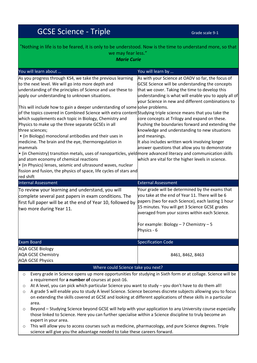# GCSE Science - Triple Grade Scale 9-1

| "Nothing in life is to be feared, it is only to be understood. Now is the time to understand more, so that<br>we may fear less."<br><b>Marie Curie</b>                                                                                                                                                                                                                                                                                                                                                                                                                                                                                                                                                                                                                                                                                                                                                                                                                                                            |                                                                                                                                                                                                                                                                                                                                                                                                                                                                                                                                                                                                      |  |
|-------------------------------------------------------------------------------------------------------------------------------------------------------------------------------------------------------------------------------------------------------------------------------------------------------------------------------------------------------------------------------------------------------------------------------------------------------------------------------------------------------------------------------------------------------------------------------------------------------------------------------------------------------------------------------------------------------------------------------------------------------------------------------------------------------------------------------------------------------------------------------------------------------------------------------------------------------------------------------------------------------------------|------------------------------------------------------------------------------------------------------------------------------------------------------------------------------------------------------------------------------------------------------------------------------------------------------------------------------------------------------------------------------------------------------------------------------------------------------------------------------------------------------------------------------------------------------------------------------------------------------|--|
|                                                                                                                                                                                                                                                                                                                                                                                                                                                                                                                                                                                                                                                                                                                                                                                                                                                                                                                                                                                                                   |                                                                                                                                                                                                                                                                                                                                                                                                                                                                                                                                                                                                      |  |
| As you progress through KS4, we take the previous learning<br>to the next level. We will go into more depth and<br>understanding of the principles of Science and use these to<br>apply our understanding to unknown situations.<br>This will include how to gain a deeper understanding of some solve problems.<br>of the topics covered in Combined Science with extra content Studying triple science means that you take the<br>which supplements each topic in Biology, Chemistry and<br>Physics to make up the three separate GCSEs in all<br>three sciences;<br>• (in Biology) monoclonal antibodies and their uses in<br>medicine. The brain and the eye, thermoregulation in<br>mammals<br>• (in Chemistry) transition metals, uses of nanoparticles, yield more advanced literacy and communication skills<br>and atom economy of chemical reactions<br>• (in Physics) lenses, seismic and ultrasound waves, nuclear<br>fission and fusion, the physics of space, life cycles of stars and<br>red shift | As with your Science at OADV so far, the focus of<br>GCSE Science will be understanding the concepts<br>that we cover. Taking the time to develop this<br>understanding is what will enable you to apply all of<br>your Science in new and different combinations to<br>core concepts at Trilogy and expand on these.<br>Pushing the boundaries forward and extending the<br>knowledge and understanding to new situations<br>and meanings.<br>It also includes written work involving longer<br>answer questions that allow you to demonstrate<br>which are vital for the higher levels in science. |  |
| <b>Internal Assessment</b>                                                                                                                                                                                                                                                                                                                                                                                                                                                                                                                                                                                                                                                                                                                                                                                                                                                                                                                                                                                        | <b>External Assessment</b>                                                                                                                                                                                                                                                                                                                                                                                                                                                                                                                                                                           |  |
| To review your learning and understand, you will<br>complete several past papers in exam conditions. The<br>first full paper will be at the end of Year 10, followed by<br>two more during Year 11.                                                                                                                                                                                                                                                                                                                                                                                                                                                                                                                                                                                                                                                                                                                                                                                                               | Your grade will be determined by the exams that<br>you take at the end of Year 11. There will be 6<br>papers (two for each Science), each lasting 1 hour<br>15 minutes. You will get 3 Science GCSE grades<br>averaged from your scores within each Science.<br>For example: Biology - 7 Chemistry - 5<br>Physics - 6                                                                                                                                                                                                                                                                                |  |
| <b>Exam Board</b>                                                                                                                                                                                                                                                                                                                                                                                                                                                                                                                                                                                                                                                                                                                                                                                                                                                                                                                                                                                                 | <b>Specification Code</b>                                                                                                                                                                                                                                                                                                                                                                                                                                                                                                                                                                            |  |
| <b>AQA GCSE Biology</b><br><b>AQA GCSE Chemistry</b><br><b>AQA GCSE Physics</b>                                                                                                                                                                                                                                                                                                                                                                                                                                                                                                                                                                                                                                                                                                                                                                                                                                                                                                                                   | 8461, 8462, 8463                                                                                                                                                                                                                                                                                                                                                                                                                                                                                                                                                                                     |  |
| Where could Science take you next?                                                                                                                                                                                                                                                                                                                                                                                                                                                                                                                                                                                                                                                                                                                                                                                                                                                                                                                                                                                |                                                                                                                                                                                                                                                                                                                                                                                                                                                                                                                                                                                                      |  |
| Every grade in Science opens up more opportunities for studying in Sixth form or at collage. Science will be<br>$\circ$<br>a requirement for a number of courses at post-16.<br>At A level, you can pick which particular Science you want to study – you don't have to do them all!<br>O<br>A grade 5 will enable vou to study A level Science, Science becomes discrete subjects allowing vou to focus                                                                                                                                                                                                                                                                                                                                                                                                                                                                                                                                                                                                          |                                                                                                                                                                                                                                                                                                                                                                                                                                                                                                                                                                                                      |  |

- o A grade 5 will enable you to study A level Science. Science becomes discrete subjects allowing you to focus on extending the skills covered at GCSE and looking at different applications of these skills in a particular area.
- o Beyond Studying Science beyond GCSE will help with your application to any University course especially those linked to Science. Here you can further specialise within a Science discipline to truly become an expert in your area.
- o This will allow you to access courses such as medicine, pharmacology, and pure Science degrees. Triple science will give you the advantage needed to take these careers forward.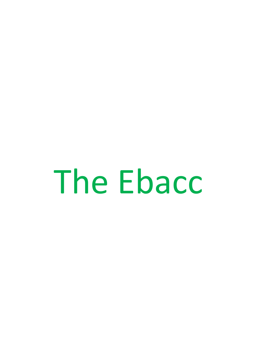The Ebacc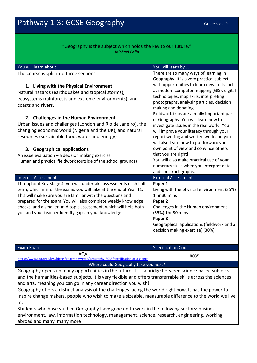### "Geography is the subject which holds the key to our future." *Michael Palin*

| You will learn about                                                                                                                                                                                                                                                                                                                                                                                                                                                                                                                                         | You will learn by                                                                                                                                                                                                                                                                                                                                                                                                                                                                                                                                                                                                                                           |
|--------------------------------------------------------------------------------------------------------------------------------------------------------------------------------------------------------------------------------------------------------------------------------------------------------------------------------------------------------------------------------------------------------------------------------------------------------------------------------------------------------------------------------------------------------------|-------------------------------------------------------------------------------------------------------------------------------------------------------------------------------------------------------------------------------------------------------------------------------------------------------------------------------------------------------------------------------------------------------------------------------------------------------------------------------------------------------------------------------------------------------------------------------------------------------------------------------------------------------------|
| The course is split into three sections                                                                                                                                                                                                                                                                                                                                                                                                                                                                                                                      | There are so many ways of learning in<br>Geography. It is a very practical subject,                                                                                                                                                                                                                                                                                                                                                                                                                                                                                                                                                                         |
| 1. Living with the Physical Environment<br>Natural hazards (earthquakes and tropical storms),<br>ecosystems (rainforests and extreme environments), and<br>coasts and rivers.<br>2. Challenges in the Human Environment<br>Urban issues and challenges (London and Rio de Janeiro), the<br>changing economic world (Nigeria and the UK), and natural<br>resources (sustainable food, water and energy)<br>3. Geographical applications<br>An issue evaluation $-$ a decision making exercise<br>Human and physical fieldwork (outside of the school grounds) | with opportunities to learn new skills such<br>as modern computer mapping (GIS), digital<br>technologies, map skills, interpreting<br>photographs, analysing articles, decision<br>making and debating.<br>Fieldwork trips are a really important part<br>of Geography. You will learn how to<br>investigate issues in the real world. You<br>will improve your literacy through your<br>report writing and written work and you<br>will also learn how to put forward your<br>own point of view and convince others<br>that you are right!<br>You will also make practical use of your<br>numeracy skills when you interpret data<br>and construct graphs. |
| <b>Internal Assessment</b>                                                                                                                                                                                                                                                                                                                                                                                                                                                                                                                                   | <b>External Assessment</b>                                                                                                                                                                                                                                                                                                                                                                                                                                                                                                                                                                                                                                  |
| Throughout Key Stage 4, you will undertake assessments each half<br>term, which mirror the exams you will take at the end of Year 11.<br>This will make sure you are familiar with the questions and<br>prepared for the exam. You will also complete weekly knowledge<br>checks, and a smaller, mid-topic assessment, which will help both<br>you and your teacher identify gaps in your knowledge.                                                                                                                                                         | Paper 1<br>Living with the physical environment (35%)<br>1 hr 30 mins<br>Paper 2<br>Challenges in the Human environment<br>(35%) 1hr 30 mins<br>Paper 3<br>Geographical applications (fieldwork and a<br>decision making exercise) (30%)                                                                                                                                                                                                                                                                                                                                                                                                                    |
| <b>Exam Board</b>                                                                                                                                                                                                                                                                                                                                                                                                                                                                                                                                            | <b>Specification Code</b>                                                                                                                                                                                                                                                                                                                                                                                                                                                                                                                                                                                                                                   |
| <b>AQA</b><br>https://www.aqa.org.uk/subjects/geography/gcse/geography-8035/specification-at-a-glance<br>Where could Geography take you next?                                                                                                                                                                                                                                                                                                                                                                                                                | 8035                                                                                                                                                                                                                                                                                                                                                                                                                                                                                                                                                                                                                                                        |

Geography opens up many opportunities in the future. It is a bridge between science based subjects and the humanities-based subjects. It is very flexible and offers transferrable skills across the sciences and arts, meaning you can go in any career direction you wish!

Geography offers a distinct analysis of the challenges facing the world right now. It has the power to inspire change makers, people who wish to make a sizeable, measurable difference to the world we live in.

Students who have studied Geography have gone on to work in the following sectors: business, environment, law, information technology, management, science, research, engineering, working abroad and many, many more!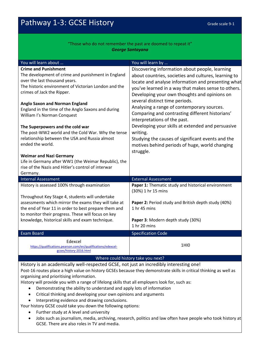### "Those who do not remember the past are doomed to repeat it" *George Santayana*

| You will learn about                                                                                   | You will learn by                                                   |  |
|--------------------------------------------------------------------------------------------------------|---------------------------------------------------------------------|--|
| <b>Crime and Punishment</b>                                                                            | Discovering information about people, learning                      |  |
| The development of crime and punishment in England                                                     | about countries, societies and cultures, learning to                |  |
| over the last thousand years.                                                                          | locate and analyse information and presenting what                  |  |
| The historic environment of Victorian London and the                                                   | you've learned in a way that makes sense to others.                 |  |
| crimes of Jack the Ripper.                                                                             | Developing your own thoughts and opinions on                        |  |
|                                                                                                        | several distinct time periods.                                      |  |
| <b>Anglo Saxon and Norman England</b>                                                                  | Analysing a range of contemporary sources.                          |  |
| England in the time of the Anglo Saxons and during<br>William I's Norman Conquest                      | Comparing and contrasting different historians'                     |  |
|                                                                                                        | interpretations of the past.                                        |  |
| The Superpowers and the cold war                                                                       | Developing your skills at extended and persuasive                   |  |
| The post-WW2 world and the Cold War. Why the tense                                                     | writing.                                                            |  |
| relationship between the USA and Russia almost                                                         | Studying the causes of significant events and the                   |  |
| ended the world.                                                                                       | motives behind periods of huge, world changing                      |  |
|                                                                                                        | struggle.                                                           |  |
| <b>Weimar and Nazi Germany</b>                                                                         |                                                                     |  |
| Life in Germany after WW1 (the Weimar Republic), the                                                   |                                                                     |  |
| rise of the Nazis and Hitler's control of interwar                                                     |                                                                     |  |
| Germany.                                                                                               |                                                                     |  |
| <b>Internal Assessment</b>                                                                             | <b>External Assessment</b>                                          |  |
| History is assessed 100% through examination                                                           | Paper 1: Thematic study and historical environment                  |  |
|                                                                                                        | (30%) 1 hr 15 mins                                                  |  |
| Throughout Key Stage 4, students will undertake                                                        |                                                                     |  |
| assessments which mirror the exams they will take at                                                   | Paper 2: Period study and British depth study (40%)<br>1 hr 45 mins |  |
| the end of Year 11 in order to best prepare them and                                                   |                                                                     |  |
| to monitor their progress. These will focus on key<br>knowledge, historical skills and exam technique. | Paper 3: Modern depth study (30%)                                   |  |
|                                                                                                        | 1 hr 20 mins                                                        |  |
|                                                                                                        |                                                                     |  |
| <b>Exam Board</b>                                                                                      | <b>Specification Code</b>                                           |  |
| Edexcel                                                                                                | 1H <sub>I0</sub>                                                    |  |
| https://qualifications.pearson.com/en/qualifications/edexcel-<br>gcses/history-2016.html               |                                                                     |  |
| Where could history take you next?                                                                     |                                                                     |  |
|                                                                                                        |                                                                     |  |

History is an academically well-respected GCSE, not just an incredibly interesting one! Post-16 routes place a high value on history GCSEs because they demonstrate skills in critical thinking as well as organising and prioritising information.

History will provide you with a range of lifelong skills that all employers look for, such as:

- Demonstrating the ability to understand and apply lots of information
- Critical thinking and developing your own opinions and arguments
- Interpreting evidence and drawing conclusions.

Your history GCSE could take you down the following options:

- Further study at A level and university
- Jobs such as journalism, media, archiving, research, politics and law often have people who took history at GCSE. There are also roles in TV and media.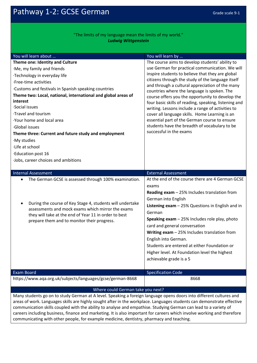Pathway 1-2: GCSE German Grade Scale 9-1

### "The limits of my language mean the limits of my world." *Ludwig Wittgenstein*

| You will learn about                                                                                                    | You will learn by                                                                              |  |
|-------------------------------------------------------------------------------------------------------------------------|------------------------------------------------------------------------------------------------|--|
| Theme one: Identity and Culture                                                                                         | The course aims to develop students' ability to                                                |  |
| ·Me, my family and friends                                                                                              | use German for practical communication. We will                                                |  |
| ·Technology in everyday life                                                                                            | inspire students to believe that they are global                                               |  |
| ·Free-time activities                                                                                                   | citizens through the study of the language itself                                              |  |
| . Customs and festivals in Spanish speaking countries                                                                   | and through a cultural appreciation of the many<br>countries where the language is spoken. The |  |
| Theme two: Local, national, international and global areas of                                                           | course offers you the opportunity to develop the                                               |  |
| interest                                                                                                                | four basic skills of reading, speaking, listening and                                          |  |
| Social issues                                                                                                           | writing. Lessons include a range of activities to                                              |  |
| ·Travel and tourism                                                                                                     | cover all language skills. Home Learning is an                                                 |  |
| Your home and local area                                                                                                | essential part of the German course to ensure                                                  |  |
| Global issues                                                                                                           | students have the breadth of vocabulary to be                                                  |  |
| Theme three: Current and future study and employment                                                                    | successful in the exams                                                                        |  |
| ·My studies                                                                                                             |                                                                                                |  |
| ·Life at school                                                                                                         |                                                                                                |  |
| Education post 16                                                                                                       |                                                                                                |  |
| ·Jobs, career choices and ambitions                                                                                     |                                                                                                |  |
|                                                                                                                         |                                                                                                |  |
| <b>Internal Assessment</b>                                                                                              | <b>External Assessment</b>                                                                     |  |
| The German GCSE is assessed through 100% examination.<br>$\bullet$                                                      | At the end of the course there are 4 German GCSE                                               |  |
|                                                                                                                         | exams                                                                                          |  |
|                                                                                                                         | Reading exam - 25% Includes translation from                                                   |  |
| During the course of Key Stage 4, students will undertake<br>$\bullet$                                                  | German into English                                                                            |  |
| assessments and mock exams which mirror the exams                                                                       | Listening $exam - 25%$ Questions in English and in                                             |  |
| they will take at the end of Year 11 in order to best                                                                   | German                                                                                         |  |
| prepare them and to monitor their progress.                                                                             | <b>Speaking exam</b> $-$ 25% Includes role play, photo                                         |  |
|                                                                                                                         | card and general conversation                                                                  |  |
|                                                                                                                         | Writing $exam - 25\%$ Includes translation from                                                |  |
|                                                                                                                         | English into German.                                                                           |  |
|                                                                                                                         | Students are entered at either Foundation or                                                   |  |
|                                                                                                                         | Higher level. At Foundation level the highest                                                  |  |
|                                                                                                                         | achievable grade is a 5                                                                        |  |
|                                                                                                                         |                                                                                                |  |
| <b>Exam Board</b>                                                                                                       | <b>Specification Code</b>                                                                      |  |
| https://www.aqa.org.uk/subjects/languages/gcse/german-8668                                                              | 8668                                                                                           |  |
| Where could German take you next?                                                                                       |                                                                                                |  |
| Many students go on to study German at A level. Speaking a foreign language opens doors into different cultures and     |                                                                                                |  |
| areas of work. Languages skills are highly sought after in the workplace. Languages students can demonstrate effective  |                                                                                                |  |
| communication skills coupled with the ability to analyse and empathise. Studying German can lead to a variety of        |                                                                                                |  |
| careers including business, finance and marketing. It is also important for careers which involve working and therefore |                                                                                                |  |

communicating with other people, for example medicine, dentistry, pharmacy and teaching.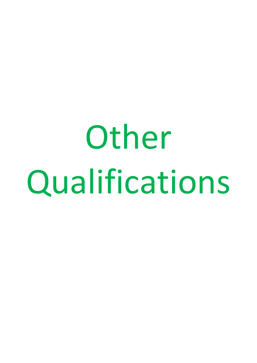Other Qualifications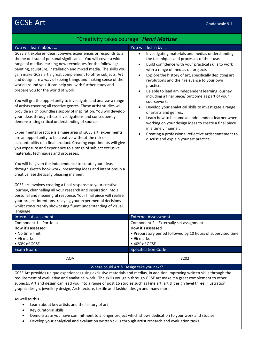# GCSE Art Grade scale 9-1

### "Creativity takes courage" *Henri Matisse*

### You will learn about … You will learn by …

GCSE art explores ideas, conveys experiences or responds to a theme or issue of personal significance. You will cover a wide range of medias learning new techniques for the following: painting, sculpture, installation and mixed media. The skills you gain make GCSE art a great complement to other subjects. Art and design are a way of seeing things and making sense of the world around you. It can help you with further study and prepare you for the world of work.

You will get the opportunity to investigate and analyse a range of artists covering all creative genres. These artist studies will provide a rich boundless supply of inspiration. You will develop your ideas through these investigations and consequently demonstrating critical understanding of sources.

Experimental practice is a huge area of GCSE art, experiments are an opportunity to be creative without the risk or accountability of a final product. Creating experiments will give you exposure and experience to a range of subject exclusive materials, techniques and processes.

You will be given the independence to curate your ideas through sketch book work, presenting ideas and intentions in a creative, aesthetically pleasing manner.

GCSE art involves creating a final response to your creative journey, channelling all your research and inspiration into a personal and meaningful response. Your final piece will realise your project intentions, relaying your experimental decisions whilst concurrently showcasing fluent understanding of visual language.

- Investigating materials and medias understanding the techniques and processes of their use.
- Build confidence with your practical skills to work with a range of medias on projects
- Explore the history of art, specifically depicting art revolutions and their relevance to your own practice.
- Be able to lead am independent learning journey including a final piece/ outcome as part of your coursework.
- Develop your analytical skills to investigate a range of artists and genres.
- Learn how to become an independent learner when working on your design ideas to create a final piece in a timely manner.
- Creating a professional reflective artist statement to discuss and explain your art practice.

| 1011799721              |                                                              |
|-------------------------|--------------------------------------------------------------|
| Internal Assessment     | <b>External Assessment</b>                                   |
| Component 1 – Portfolio | Component 2 – Externally set assignment                      |
| How it's assessed       | How it's assessed                                            |
| • No time limit         | • Preparatory period followed by 10 hours of supervised time |
| $\bullet$ 96 marks      | $\bullet$ 96 marks                                           |
| $\bullet$ 60% of GCSE   | $\bullet$ 40% of GCSE                                        |
| Exam Board              | <b>Specification Code</b>                                    |
| AQA                     | 8202                                                         |

### Where could Art & Design take you next?

GCSE Art provides unique experiences using exclusive materials and medias, in addition improving written skills through the requirement of evaluative and analytical work. The skills you gain through GCSE art make it a great complement to other subjects. Art and design can lead you into a range of post 16 studies such as Fine art, art & design level three, illustration, graphic design, jewellery design, Architecture, textile and fashion design and many more.

As well as this …

- Learn about key artists and the history of art
- Key curatorial skills
- Demonstrate you have commitment to a longer project which shows dedication to your work and studies
- Develop your analytical and evaluation written skills through artist research and evaluation tasks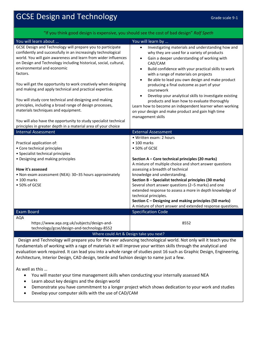# GCSE Design and Technology Grade Scale 9-1

| "If you think good design is expensive, you should see the cost of bad design" Ralf Speth                                          |                                                                                                                      |  |
|------------------------------------------------------------------------------------------------------------------------------------|----------------------------------------------------------------------------------------------------------------------|--|
| You will learn about                                                                                                               | You will learn by                                                                                                    |  |
| GCSE Design and Technology will prepare you to participate<br>confidently and successfully in an increasingly technological        | Investigating materials and understanding how and<br>$\bullet$<br>why they are used for a variety of products        |  |
| world. You will gain awareness and learn from wider influences<br>on Design and Technology including historical, social, cultural, | Gain a deeper understanding of working with                                                                          |  |
| environmental and economic                                                                                                         | CAD/CAM<br>Build confidence with your practical skills to work<br>$\bullet$                                          |  |
| factors.                                                                                                                           | with a range of materials on projects<br>Be able to lead you own design and make product<br>$\bullet$                |  |
| You will get the opportunity to work creatively when designing<br>and making and apply technical and practical expertise.          | producing a final outcome as part of your<br>coursework                                                              |  |
| You will study core technical and designing and making                                                                             | Develop your analytical skills to investigate existing<br>$\bullet$                                                  |  |
| principles, including a broad range of design processes,                                                                           | products and lean how to evaluate thoroughly<br>Learn how to become an independent learner when working              |  |
| materials techniques and equipment.                                                                                                | on your design and make product and gain high time                                                                   |  |
| You will also have the opportunity to study specialist technical                                                                   | management skills                                                                                                    |  |
| principles in greater depth in a material area of your choice                                                                      |                                                                                                                      |  |
| <b>Internal Assessment</b>                                                                                                         | <b>External Assessment</b>                                                                                           |  |
|                                                                                                                                    | • Written exam: 2 hours                                                                                              |  |
| Practical application of:                                                                                                          | $\bullet$ 100 marks                                                                                                  |  |
| • Core technical principles                                                                                                        |                                                                                                                      |  |
|                                                                                                                                    | • 50% of GCSE                                                                                                        |  |
| • Specialist technical principles                                                                                                  |                                                                                                                      |  |
| • Designing and making principles                                                                                                  | Section A - Core technical principles (20 marks)                                                                     |  |
|                                                                                                                                    | A mixture of multiple choice and short answer questions                                                              |  |
| How it's assessed                                                                                                                  | assessing a breadth of technical                                                                                     |  |
| • Non-exam assessment (NEA): 30-35 hours approximately                                                                             | knowledge and understanding.                                                                                         |  |
| $\bullet$ 100 marks                                                                                                                | Section B - Specialist technical principles (30 marks)                                                               |  |
| • 50% of GCSE                                                                                                                      | Several short answer questions (2-5 marks) and one                                                                   |  |
|                                                                                                                                    | extended response to assess a more in depth knowledge of                                                             |  |
|                                                                                                                                    | technical principles.                                                                                                |  |
|                                                                                                                                    | Section C - Designing and making principles (50 marks)<br>A mixture of short answer and extended response questions. |  |
| <b>Exam Board</b>                                                                                                                  | <b>Specification Code</b>                                                                                            |  |
| <b>AQA</b>                                                                                                                         |                                                                                                                      |  |
| https://www.aqa.org.uk/subjects/design-and-                                                                                        | 8552                                                                                                                 |  |
| technology/gcse/design-and-technology-8552<br>Where could Art & Design take you next?                                              |                                                                                                                      |  |

Design and Technology will prepare you for the ever advancing technological world. Not only will it teach you the fundamentals of working with a rage of materials it will improve your written skills through the analytical and evaluation work required. It can lead you into a whole range of studies post 16 such as Graphic Design, Engineering, Architecture, Interior Design, CAD design, textile and fashion design to name just a few.

As well as this …

- You will master your time management skills when conducting your internally assessed NEA
- Learn about key designs and the design world
- Demonstrate you have commitment to a longer project which shows dedication to your work and studies
- Develop your computer skills with the use of CAD/CAM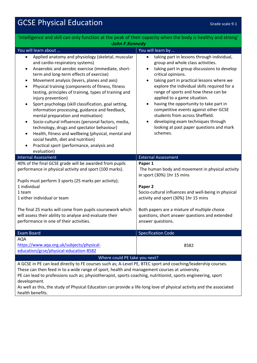# GCSE Physical Education Grade Scale 9-1

| 'Intelligence and skill can only function at the peak of their capacity when the body is healthy and strong'                                                                                                                                                                                                                                                                                                                                                                                                                                                                                                                                                                                                                                                                                                                                                                                      |                                                                                                                                                                                                                                                                                                                                                                                                                                                                                                                                                                                                                |  |
|---------------------------------------------------------------------------------------------------------------------------------------------------------------------------------------------------------------------------------------------------------------------------------------------------------------------------------------------------------------------------------------------------------------------------------------------------------------------------------------------------------------------------------------------------------------------------------------------------------------------------------------------------------------------------------------------------------------------------------------------------------------------------------------------------------------------------------------------------------------------------------------------------|----------------------------------------------------------------------------------------------------------------------------------------------------------------------------------------------------------------------------------------------------------------------------------------------------------------------------------------------------------------------------------------------------------------------------------------------------------------------------------------------------------------------------------------------------------------------------------------------------------------|--|
| -John F.Kennedy                                                                                                                                                                                                                                                                                                                                                                                                                                                                                                                                                                                                                                                                                                                                                                                                                                                                                   |                                                                                                                                                                                                                                                                                                                                                                                                                                                                                                                                                                                                                |  |
| You will learn about                                                                                                                                                                                                                                                                                                                                                                                                                                                                                                                                                                                                                                                                                                                                                                                                                                                                              | You will learn by                                                                                                                                                                                                                                                                                                                                                                                                                                                                                                                                                                                              |  |
| Applied anatomy and physiology (skeletal, muscular<br>$\bullet$<br>and cardio-respiratory systems)<br>Anaerobic and aerobic exercise (immediate, short-<br>$\bullet$<br>term and long-term effects of exercise)<br>Movement analysis (levers, planes and axis)<br>$\bullet$<br>Physical training (components of fitness, fitness<br>$\bullet$<br>testing, principles of training, types of training and<br>injury prevention)<br>Sport psychology (skill classification, goal setting,<br>$\bullet$<br>information processing, guidance and feedback,<br>mental preparation and motivation)<br>Socio-cultural influences (personal factors, media,<br>$\bullet$<br>technology, drugs and spectator behaviour)<br>Health, fitness and wellbeing (physical, mental and<br>$\bullet$<br>social health, diet and nutrition)<br>Practical sport (performance, analysis and<br>$\bullet$<br>evaluation) | taking part in lessons through individual,<br>$\bullet$<br>group and whole class activities.<br>taking part in group discussions to develop<br>$\bullet$<br>critical opinions.<br>taking part in practical lessons where we<br>$\bullet$<br>explore the individual skills required for a<br>range of sports and how these can be<br>applied to a game situation.<br>having the opportunity to take part in<br>$\bullet$<br>competitive events against other GCSE<br>students from across Sheffield.<br>developing exam techniques through<br>$\bullet$<br>looking at past paper questions and mark<br>schemes. |  |
| <b>Internal Assessment</b>                                                                                                                                                                                                                                                                                                                                                                                                                                                                                                                                                                                                                                                                                                                                                                                                                                                                        | <b>External Assessment</b>                                                                                                                                                                                                                                                                                                                                                                                                                                                                                                                                                                                     |  |
| 40% of the final GCSE grade will be awarded from pupils<br>performance in physical activity and sport (100 marks).<br>Pupils must perform 3 sports (25 marks per activity);<br>1 individual<br>1 team<br>1 either individual or team<br>The final 25 marks will come from pupils coursework which<br>will assess their ability to analyse and evaluate their<br>performance in one of their activities.                                                                                                                                                                                                                                                                                                                                                                                                                                                                                           | Paper 1<br>The human body and movement in physical activity<br>in sport (30%) 1hr 15 mins<br>Paper 2<br>Socio-cultural influences and well-being in physical<br>activity and sport (30%) 1hr 15 mins<br>Both papers are a mixture of multiple choice<br>questions, short answer questions and extended<br>answer questions.                                                                                                                                                                                                                                                                                    |  |
| <b>Exam Board</b>                                                                                                                                                                                                                                                                                                                                                                                                                                                                                                                                                                                                                                                                                                                                                                                                                                                                                 | <b>Specification Code</b>                                                                                                                                                                                                                                                                                                                                                                                                                                                                                                                                                                                      |  |
| <b>AQA</b><br>https://www.aqa.org.uk/subjects/physical-<br>education/gcse/physical-education-8582                                                                                                                                                                                                                                                                                                                                                                                                                                                                                                                                                                                                                                                                                                                                                                                                 | 8582                                                                                                                                                                                                                                                                                                                                                                                                                                                                                                                                                                                                           |  |
| Where could PE take you next?                                                                                                                                                                                                                                                                                                                                                                                                                                                                                                                                                                                                                                                                                                                                                                                                                                                                     |                                                                                                                                                                                                                                                                                                                                                                                                                                                                                                                                                                                                                |  |
| A GCSE in PE can lead directly to FE courses such as; A-Level PE, BTEC sport and coaching/leadership courses.<br>These can then feed in to a wide range of sport, health and management courses at university.<br>PE can lead to professions such as; physiotherapist, sports coaching, nutritionist, sports engineering, sport<br>development.<br>As well as this, the study of Physical Education can provide a life-long love of physical activity and the associated<br>health benefits.                                                                                                                                                                                                                                                                                                                                                                                                      |                                                                                                                                                                                                                                                                                                                                                                                                                                                                                                                                                                                                                |  |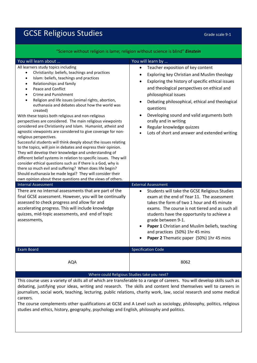# GCSE Religious Studies Grade Scale 9-1

| Science without religion is lame; religion without science is blind" <i>Einstein</i>                                                                                                                                                                                                                                                                                                                                                                                                                                                                                                                                                                                                                                                                                                                                                                                                                                                                                                                                                                                                                                                                                                                                   |                                                                                                                                                                                                                                                                                                                                                                                                                                                                                                                            |
|------------------------------------------------------------------------------------------------------------------------------------------------------------------------------------------------------------------------------------------------------------------------------------------------------------------------------------------------------------------------------------------------------------------------------------------------------------------------------------------------------------------------------------------------------------------------------------------------------------------------------------------------------------------------------------------------------------------------------------------------------------------------------------------------------------------------------------------------------------------------------------------------------------------------------------------------------------------------------------------------------------------------------------------------------------------------------------------------------------------------------------------------------------------------------------------------------------------------|----------------------------------------------------------------------------------------------------------------------------------------------------------------------------------------------------------------------------------------------------------------------------------------------------------------------------------------------------------------------------------------------------------------------------------------------------------------------------------------------------------------------------|
| You will learn about                                                                                                                                                                                                                                                                                                                                                                                                                                                                                                                                                                                                                                                                                                                                                                                                                                                                                                                                                                                                                                                                                                                                                                                                   | You will learn by                                                                                                                                                                                                                                                                                                                                                                                                                                                                                                          |
| All learners study topics including<br>Christianity: beliefs, teachings and practices<br>$\bullet$<br>Islam: beliefs, teachings and practices<br>$\bullet$<br>Relationships and family<br>$\bullet$<br>Peace and Conflict<br>$\bullet$<br>Crime and Punishment<br>$\bullet$<br>Religion and life issues (animal rights, abortion,<br>$\bullet$<br>euthanasia and debates about how the world was<br>created)<br>With these topics both religious and non-religious<br>perspectives are considered. The main religious viewpoints<br>considered are Christianity and Islam. Humanist, atheist and<br>agnostic viewpoints are considered to give coverage for non-<br>religious perspectives.<br>Successful students will think deeply about the issues relating<br>to the topics, will join in debates and express their opinion.<br>They will develop their knowledge and understanding of<br>different belief systems in relation to specific issues. They will<br>consider ethical questions such as if there is a God, why is<br>there so much evil and suffering? When does life begin?<br>Should euthanasia be made legal? They will consider their<br>own opinion about these questions and the views of others. | Teacher exposition of key content<br>$\bullet$<br>Exploring key Christian and Muslim theology<br>$\bullet$<br>Exploring the history of specific ethical issues<br>$\bullet$<br>and theological perspectives on ethical and<br>philosophical issues<br>Debating philosophical, ethical and theological<br>$\bullet$<br>questions<br>Developing sound and valid arguments both<br>$\bullet$<br>orally and in writing<br>Regular knowledge quizzes<br>$\bullet$<br>Lots of short and answer and extended writing<br>$\bullet$ |
| <b>Internal Assessment</b>                                                                                                                                                                                                                                                                                                                                                                                                                                                                                                                                                                                                                                                                                                                                                                                                                                                                                                                                                                                                                                                                                                                                                                                             | <b>External Assessment</b>                                                                                                                                                                                                                                                                                                                                                                                                                                                                                                 |
| There are no internal assessments that are part of the<br>final GCSE assessment. However, you will be continually<br>assessed to check progress and allow for and<br>accelerating progress. This will include knowledge<br>quizzes, mid-topic assessments, and end of topic<br>assessments,                                                                                                                                                                                                                                                                                                                                                                                                                                                                                                                                                                                                                                                                                                                                                                                                                                                                                                                            | Students will take the GCSE Religious Studies<br>$\bullet$<br>exam at the end of Year 11. The assessment<br>takes the form of two 1 hour and 45 minute<br>exams. The course is not tiered and as such all<br>students have the opportunity to achieve a<br>grade between 9-1.<br>Paper 1 Christian and Muslim beliefs, teaching<br>and practices (50%) 1hr 45 mins<br>Paper 2 Thematic paper (50%) 1hr 45 mins                                                                                                             |
| <b>Exam Board</b>                                                                                                                                                                                                                                                                                                                                                                                                                                                                                                                                                                                                                                                                                                                                                                                                                                                                                                                                                                                                                                                                                                                                                                                                      | <b>Specification Code</b>                                                                                                                                                                                                                                                                                                                                                                                                                                                                                                  |
| <b>AQA</b>                                                                                                                                                                                                                                                                                                                                                                                                                                                                                                                                                                                                                                                                                                                                                                                                                                                                                                                                                                                                                                                                                                                                                                                                             | 8062                                                                                                                                                                                                                                                                                                                                                                                                                                                                                                                       |

### "Science without religion is lame; religion without science is blind" *Einstein*

Where could Religious Studies take you next?

This course uses a variety of skills all of which are transferable to a range of careers. You will develop skills such as debating, justifying your ideas, writing and research. The skills and content lend themselves well to careers in journalism, social work, teaching, lecturing, public relations, charity work, law, social research and some medical careers.

The course complements other qualifications at GCSE and A Level such as sociology, philosophy, politics, religious studies and ethics, history, geography, psychology and English, philosophy and politics.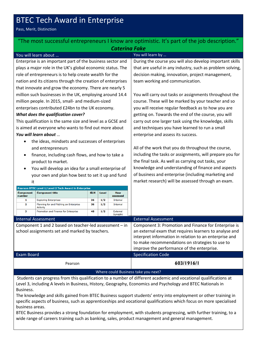## BTEC Tech Award in Enterprise

Pass, Merit, Distinction

### "The most successful entrepreneurs I know are optimistic. It's part of the job description." *Caterina Fake* You will learn about … You will learn by …

Enterprise is an important part of the business sector and plays a major role in the UK's global economic status. The role of entrepreneurs is to help create wealth for the nation and its citizens through the creation of enterprises that innovate and grow the economy. There are nearly 5 million such businesses in the UK, employing around 14.4 million people. In 2015, small- and medium-sized enterprises contributed £24bn to the UK economy. *What does the qualification cover?*

This qualification is the same size and level as a GCSE and is aimed at everyone who wants to find out more about *You will learn about* …

- the ideas, mindsets and successes of enterprises and entrepreneurs
- finance, including cash flows, and how to take a product to market.
- You will develop an idea for a small enterprise of your own and plan how best to set it up and fund it

| <b>Pearson BTEC Level 1/Level 2 Tech Award in Enterprise</b> |                                                            |            |       |                        |
|--------------------------------------------------------------|------------------------------------------------------------|------------|-------|------------------------|
| <b>Component</b><br>number                                   | <b>Component title</b>                                     | <b>GLH</b> | Level | <b>How</b><br>assessed |
| 1                                                            | <b>Exploring Enterprises</b>                               | 36         | 1/2   | <b>Internal</b>        |
| 2                                                            | Planning for and Pitching an Enterprise<br><b>Activity</b> | 36         | 1/2   | <b>Internal</b>        |
| з                                                            | Promotion and Finance for Enterprise                       | 48         | 1/2   | External<br>Synoptic   |

During the course you will also develop important skills that are useful in any industry, such as problem solving, decision making, innovation, project management, team working and communication.

You will carry out tasks or assignments throughout the course. These will be marked by your teacher and so you will receive regular feedback as to how you are getting on. Towards the end of the course, you will carry out one larger task using the knowledge, skills and techniques you have learned to run a small enterprise and assess its success.

All of the work that you do throughout the course, including the tasks or assignments, will prepare you for the final task. As well as carrying out tasks, your knowledge and understanding of finance and aspects of business and enterprise (including marketing and market research) will be assessed through an exam.

|                            |            | Promotion and Finance for Enterprise                                                                     | 48 | 1/2                        | External<br>Synoptic |                                                                                                                                                                                                                                                                           |
|----------------------------|------------|----------------------------------------------------------------------------------------------------------|----|----------------------------|----------------------|---------------------------------------------------------------------------------------------------------------------------------------------------------------------------------------------------------------------------------------------------------------------------|
| <b>Internal Assessment</b> |            |                                                                                                          |    | <b>External Assessment</b> |                      |                                                                                                                                                                                                                                                                           |
|                            |            | Component 1 and 2 based on teacher-led assessment - in<br>school assignments set and marked by teachers. |    |                            |                      | Component 3: Promotion and Finance for Enterprise is<br>an external exam that requires learners to analyse and<br>interpret information in relation to an enterprise and<br>to make recommendations on strategies to use to<br>improve the performance of the enterprise. |
|                            | Exam Board |                                                                                                          |    |                            |                      | <b>Specification Code</b>                                                                                                                                                                                                                                                 |
|                            |            | Pearson                                                                                                  |    |                            |                      | 603/1916/1                                                                                                                                                                                                                                                                |

Where could Business take you next?

Students can progress from this qualification to a number of different academic and vocational qualifications at Level 3, including A levels in Business, History, Geography, Economics and Psychology and BTEC Nationals in Business.

The knowledge and skills gained from BTEC Business support students' entry into employment or other training in specific aspects of business, such as apprenticeships and vocational qualifications which focus on more specialised business areas.

BTEC Business provides a strong foundation for employment, with students progressing, with further training, to a wide range of careers training such as banking, sales, product management and general management.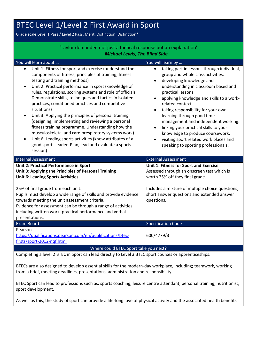# BTEC Level 1/Level 2 First Award in Sport

Grade scale Level 1 Pass / Level 2 Pass, Merit, Distinction, Distinction\*

| 'Taylor demanded not just a tactical response but an explanation'                                                                                                                                                                                                                                                                                                                                                                                                                                                                                                                                                                                                                                                                                                                                                |                                                                                                                                                                                                                                                                                                                                                                                                                                                                                                                                                           |  |
|------------------------------------------------------------------------------------------------------------------------------------------------------------------------------------------------------------------------------------------------------------------------------------------------------------------------------------------------------------------------------------------------------------------------------------------------------------------------------------------------------------------------------------------------------------------------------------------------------------------------------------------------------------------------------------------------------------------------------------------------------------------------------------------------------------------|-----------------------------------------------------------------------------------------------------------------------------------------------------------------------------------------------------------------------------------------------------------------------------------------------------------------------------------------------------------------------------------------------------------------------------------------------------------------------------------------------------------------------------------------------------------|--|
| <b>Michael Lewis, The Blind Side</b>                                                                                                                                                                                                                                                                                                                                                                                                                                                                                                                                                                                                                                                                                                                                                                             |                                                                                                                                                                                                                                                                                                                                                                                                                                                                                                                                                           |  |
| You will learn about                                                                                                                                                                                                                                                                                                                                                                                                                                                                                                                                                                                                                                                                                                                                                                                             | You will learn by                                                                                                                                                                                                                                                                                                                                                                                                                                                                                                                                         |  |
| Unit 1: Fitness for sport and exercise (understand the<br>$\bullet$<br>components of fitness, principles of training, fitness<br>testing and training methods)<br>Unit 2: Practical performance in sport (knowledge of<br>$\bullet$<br>rules, regulations, scoring systems and role of officials.<br>Demonstrate skills, techniques and tactics in isolated<br>practices, conditioned practices and competitive<br>situations)<br>Unit 3: Applying the principles of personal training<br>$\bullet$<br>(designing, implementing and reviewing a personal<br>fitness training programme. Understanding how the<br>musculoskeletal and cardiorespiratory systems work)<br>Unit 6: Leading sports activities (know attributes of a<br>$\bullet$<br>good sports leader. Plan, lead and evaluate a sports<br>session) | taking part in lessons through individual,<br>group and whole class activities.<br>developing knowledge and<br>$\bullet$<br>understanding in classroom based and<br>practical lessons.<br>applying knowledge and skills to a work-<br>$\bullet$<br>related context.<br>taking responsibility for your own<br>$\bullet$<br>learning through good time<br>management and independent working.<br>linking your practical skills to your<br>knowledge to produce coursework.<br>visiting sport related work places and<br>speaking to sporting professionals. |  |
| <b>Internal Assessment</b>                                                                                                                                                                                                                                                                                                                                                                                                                                                                                                                                                                                                                                                                                                                                                                                       | <b>External Assessment</b>                                                                                                                                                                                                                                                                                                                                                                                                                                                                                                                                |  |
| <b>Unit 2: Practical Performance in Sport</b><br>Unit 3: Applying the Principles of Personal Training<br><b>Unit 6: Leading Sports Activities</b>                                                                                                                                                                                                                                                                                                                                                                                                                                                                                                                                                                                                                                                                | Unit 1: Fitness for Sport and Exercise<br>Assessed through an onscreen test which is<br>worth 25% off they final grade.                                                                                                                                                                                                                                                                                                                                                                                                                                   |  |
| 25% of final grade from each unit.<br>Pupils must develop a wide range of skills and provide evidence<br>towards meeting the unit assessment criteria.<br>Evidence for assessment can be through a range of activities,<br>including written work, practical performance and verbal<br>presentations.                                                                                                                                                                                                                                                                                                                                                                                                                                                                                                            | Includes a mixture of multiple choice questions,<br>short answer questions and extended answer<br>questions.                                                                                                                                                                                                                                                                                                                                                                                                                                              |  |
| Exam Board                                                                                                                                                                                                                                                                                                                                                                                                                                                                                                                                                                                                                                                                                                                                                                                                       | <b>Specification Code</b>                                                                                                                                                                                                                                                                                                                                                                                                                                                                                                                                 |  |
| Pearson<br>https://qualifications.pearson.com/en/qualifications/btec-<br>firsts/sport-2012-ngf.html                                                                                                                                                                                                                                                                                                                                                                                                                                                                                                                                                                                                                                                                                                              | 600/4779/3                                                                                                                                                                                                                                                                                                                                                                                                                                                                                                                                                |  |
| Where could BTEC Sport take you next?                                                                                                                                                                                                                                                                                                                                                                                                                                                                                                                                                                                                                                                                                                                                                                            |                                                                                                                                                                                                                                                                                                                                                                                                                                                                                                                                                           |  |

Completing a level 2 BTEC in Sport can lead directly to Level 3 BTEC sport courses or apprenticeships.

BTECs are also designed to develop essential skills for the modern-day workplace, including; teamwork, working from a brief, meeting deadlines, presentations, administration and responsibility.

BTEC Sport can lead to professions such as; sports coaching, leisure centre attendant, personal training, nutritionist, sport development.

As well as this, the study of sport can provide a life-long love of physical activity and the associated health benefits.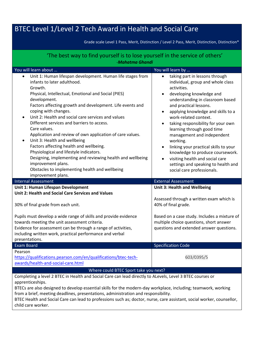# BTEC Level 1/Level 2 Tech Award in Health and Social Care

Grade scale Level 1 Pass, Merit, Distinction / Level 2 Pass, Merit, Distinction, Distinction\*

| 'The best way to find yourself is to lose yourself in the service of others'                                                                                                                                                                                                                                                                                                                                                                                                                                                                                                                                                                                                                                                                                       |                                                                                                                                                                                                                                                                                                                                                                                                                                                                                                                                                                                       |  |  |  |
|--------------------------------------------------------------------------------------------------------------------------------------------------------------------------------------------------------------------------------------------------------------------------------------------------------------------------------------------------------------------------------------------------------------------------------------------------------------------------------------------------------------------------------------------------------------------------------------------------------------------------------------------------------------------------------------------------------------------------------------------------------------------|---------------------------------------------------------------------------------------------------------------------------------------------------------------------------------------------------------------------------------------------------------------------------------------------------------------------------------------------------------------------------------------------------------------------------------------------------------------------------------------------------------------------------------------------------------------------------------------|--|--|--|
| -Mahatma Ghandi                                                                                                                                                                                                                                                                                                                                                                                                                                                                                                                                                                                                                                                                                                                                                    |                                                                                                                                                                                                                                                                                                                                                                                                                                                                                                                                                                                       |  |  |  |
| You will learn about                                                                                                                                                                                                                                                                                                                                                                                                                                                                                                                                                                                                                                                                                                                                               | You will learn by                                                                                                                                                                                                                                                                                                                                                                                                                                                                                                                                                                     |  |  |  |
| Unit 1: Human lifespan development. Human life stages from<br>$\bullet$<br>infants to later adulthood.<br>Growth.<br>Physical, Intellectual, Emotional and Social (PIES)<br>development.<br>Factors affecting growth and development. Life events and<br>coping with changes.<br>Unit 2: Health and social care services and values<br>$\bullet$<br>Different services and barriers to access.<br>Care values.<br>Application and review of own application of care values.<br>Unit 3: Health and wellbeing<br>٠<br>Factors affecting health and wellbeing.<br>Physiological and lifestyle indicators.<br>Designing, implementing and reviewing health and wellbeing<br>improvement plans.<br>Obstacles to implementing health and wellbeing<br>improvement plans. | taking part in lessons through<br>$\bullet$<br>individual, group and whole class<br>activities.<br>developing knowledge and<br>understanding in classroom based<br>and practical lessons.<br>applying knowledge and skills to a<br>work-related context.<br>taking responsibility for your own<br>$\bullet$<br>learning through good time<br>management and independent<br>working.<br>linking your practical skills to your<br>$\bullet$<br>knowledge to produce coursework.<br>visiting health and social care<br>settings and speaking to health and<br>social care professionals. |  |  |  |
| <b>Internal Assessment</b>                                                                                                                                                                                                                                                                                                                                                                                                                                                                                                                                                                                                                                                                                                                                         | <b>External Assessment</b>                                                                                                                                                                                                                                                                                                                                                                                                                                                                                                                                                            |  |  |  |
| Unit 1: Human Lifespan Development<br>Unit 2: Health and Social Care Services and Values                                                                                                                                                                                                                                                                                                                                                                                                                                                                                                                                                                                                                                                                           | Unit 3: Health and Wellbeing<br>Assessed through a written exam which is                                                                                                                                                                                                                                                                                                                                                                                                                                                                                                              |  |  |  |
| 30% of final grade from each unit.                                                                                                                                                                                                                                                                                                                                                                                                                                                                                                                                                                                                                                                                                                                                 | 40% of final grade.                                                                                                                                                                                                                                                                                                                                                                                                                                                                                                                                                                   |  |  |  |
| Pupils must develop a wide range of skills and provide evidence<br>towards meeting the unit assessment criteria.<br>Evidence for assessment can be through a range of activities,<br>including written work, practical performance and verbal<br>presentations.                                                                                                                                                                                                                                                                                                                                                                                                                                                                                                    | Based on a case study. Includes a mixture of<br>multiple choice questions, short answer<br>questions and extended answer questions.                                                                                                                                                                                                                                                                                                                                                                                                                                                   |  |  |  |
| <b>Exam Board</b>                                                                                                                                                                                                                                                                                                                                                                                                                                                                                                                                                                                                                                                                                                                                                  | <b>Specification Code</b>                                                                                                                                                                                                                                                                                                                                                                                                                                                                                                                                                             |  |  |  |
| Pearson<br>https://qualifications.pearson.com/en/qualifications/btec-tech-<br>awards/health-and-social-care.html                                                                                                                                                                                                                                                                                                                                                                                                                                                                                                                                                                                                                                                   | 603/0395/5                                                                                                                                                                                                                                                                                                                                                                                                                                                                                                                                                                            |  |  |  |
| Where could BTEC Sport take you next?                                                                                                                                                                                                                                                                                                                                                                                                                                                                                                                                                                                                                                                                                                                              |                                                                                                                                                                                                                                                                                                                                                                                                                                                                                                                                                                                       |  |  |  |
| Completing a level 2 BTEC in Health and Social Care can lead directly to ALevels, Level 3 BTEC courses or<br>apprenticeships.<br>BTECs are also designed to develop essential skills for the modern-day workplace, including; teamwork, working                                                                                                                                                                                                                                                                                                                                                                                                                                                                                                                    |                                                                                                                                                                                                                                                                                                                                                                                                                                                                                                                                                                                       |  |  |  |

from a brief, meeting deadlines, presentations, administration and responsibility. BTEC Health and Social Care can lead to professions such as; doctor, nurse, care assistant, social worker, counsellor, child care worker.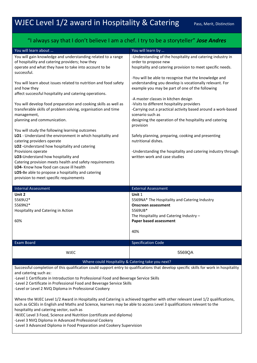### "I always say that I don't believe I am a chef. I try to be a storyteller" *Jose Andres*

| You will learn about                                                                                                                                              | You will learn by                                            |
|-------------------------------------------------------------------------------------------------------------------------------------------------------------------|--------------------------------------------------------------|
| You will gain knowledge and understanding related to a range                                                                                                      | -Understanding of the hospitality and catering industry in   |
| of hospitality and catering providers; how they                                                                                                                   | order to propose new                                         |
| operate and what they have to take into account to be                                                                                                             | hospitality and catering provision to meet specific needs.   |
| successful.                                                                                                                                                       |                                                              |
|                                                                                                                                                                   | -You will be able to recognise that the knowledge and        |
| You will learn about issues related to nutrition and food safety                                                                                                  | understanding you develop is vocationally relevant. For      |
| and how they                                                                                                                                                      | example you may be part of one of the following              |
| affect successful hospitality and catering operations.                                                                                                            |                                                              |
|                                                                                                                                                                   | -A master classes in kitchen design                          |
| You will develop food preparation and cooking skills as well as                                                                                                   | -Visits to different hospitality providers                   |
| transferable skills of problem solving, organisation and time                                                                                                     | -Carrying out a practical activity based around a work-based |
| management,                                                                                                                                                       | scenario such as                                             |
| planning and communication.                                                                                                                                       | designing the operation of the hospitality and catering      |
|                                                                                                                                                                   | provision                                                    |
| You will study the following learning outcomes                                                                                                                    |                                                              |
| LO1 - Understand the environment in which hospitality and                                                                                                         | Safely planning, preparing, cooking and presenting           |
| catering providers operate                                                                                                                                        | nutritional dishes.                                          |
| LO2 - Understand how hospitality and catering                                                                                                                     |                                                              |
| Provisions operate                                                                                                                                                | -Understanding the hospitality and catering industry through |
| LO3-Understand how hospitality and                                                                                                                                | written work and case studies                                |
| Catering provision meets health and safety requirements                                                                                                           |                                                              |
| LO4- Know how food can cause ill health                                                                                                                           |                                                              |
| LO5-Be able to propose a hospitality and catering                                                                                                                 |                                                              |
| provision to meet specific requirements                                                                                                                           |                                                              |
|                                                                                                                                                                   |                                                              |
|                                                                                                                                                                   |                                                              |
| <b>Internal Assessment</b>                                                                                                                                        | <b>External Assessment</b>                                   |
| Unit 2                                                                                                                                                            | Unit 1                                                       |
| 5569U2*                                                                                                                                                           | 5569NA* The Hospitality and Catering Industry                |
| 5569N2*                                                                                                                                                           | <b>Onscreen assessment</b>                                   |
| Hospitality and Catering in Action                                                                                                                                | 5569UB*                                                      |
|                                                                                                                                                                   | The Hospitality and Catering Industry -                      |
| 60%                                                                                                                                                               | Paper based assessment                                       |
|                                                                                                                                                                   |                                                              |
|                                                                                                                                                                   | 40%                                                          |
| <b>Exam Board</b>                                                                                                                                                 | <b>Specification Code</b>                                    |
|                                                                                                                                                                   |                                                              |
| <b>WJEC</b>                                                                                                                                                       | 5569QA                                                       |
|                                                                                                                                                                   |                                                              |
| Where could Hospitality & Catering take you next?                                                                                                                 |                                                              |
| Successful completion of this qualification could support entry to qualifications that develop specific skills for work in hospitality                            |                                                              |
| and catering such as:                                                                                                                                             |                                                              |
| -Level 1 Certificate in Introduction to Professional Food and Beverage Service Skills                                                                             |                                                              |
| -Level 2 Certificate in Professional Food and Beverage Service Skills                                                                                             |                                                              |
| -Level or Level 2 NVQ Diploma in Professional Cookery                                                                                                             |                                                              |
|                                                                                                                                                                   |                                                              |
| Where the WJEC Level 1/2 Award in Hospitality and Catering is achieved together with other relevant Level 1/2 qualifications,                                     |                                                              |
| such as GCSEs in English and Maths and Science, learners may be able to access Level 3 qualifications relevant to the<br>hospitality and catering sector, such as |                                                              |

-Level 3 NVQ Diploma in Advanced Professional Cookery

-Level 3 Advanced Diploma in Food Preparation and Cookery Supervision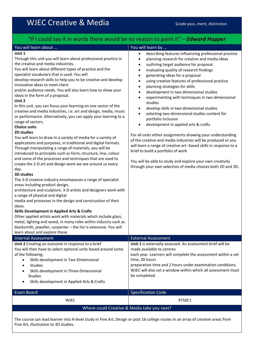# WJEC Creative & Media Grade pass, merit, distinction

### "If I could say it in words there would be no reason to paint it" – *Edward Hopper*

### You will learn about … You will learn by …

### **Unit 1**

Through this unit you will learn about professional practice in the creative and media industries.

You will learn about different types of practice and the specialist vocabulary that is used. You will

develop research skills to help you to be creative and develop innovative ideas to meet client

and/or audience needs. You will also learn how to show your ideas in the form of a proposal.

### **Unit 2**

In this unit, you can focus your learning on one sector of the creative and media industries, i.e. art and design, media, music or performance. Alternatively, you can apply your learning to a range of sectors.

### **Choice units**

### **2D studies**

You will learn to draw in a variety of media for a variety of applications and purposes, in traditional and digital formats. Through manipulating a range of materials, you will be introduced to principles such as form, structure, line, colour and some of the processes and techniques that are used to create the 2-D art and design work we see around us every day.

### **3D studies**

The 3-D creative industry encompasses a range of specialist areas including product design,

architecture and sculpture. 3-D artists and designers work with a range of physical and digital

media and processes in the design and construction of their ideas.

### **Skills Development in Applied Arts & Crafts**

Other applied artists work with materials which include glass, metal, lighting and wood, in many roles within industry such as blacksmith, jeweller, carpenter – the list is extensive. You will learn about and explore these

### Internal Assessment External Assessment **Unit 2** Creating an outcome in response to a brief You will then have to select optional units based around some of the following; Skills development in Two-Dimensional **Studies Unit 1** is externally assessed. An assessment brief will be made available to centres each year. Learners will complete the assessment within a set time, 20 hours preparation time and 2 hours under examination conditions.

- Skills development in Three-Dimensional Studies
- Skills development in Applied Arts & Crafts

| <b>Exam Board</b>                           | <b>Specification Code</b> |  |
|---------------------------------------------|---------------------------|--|
| <b>WJEC</b>                                 | 9750C1                    |  |
| Where could Creative & Media take you next? |                           |  |
|                                             |                           |  |

be completed.

The course can lead learner into A-level study in Fine Art, Design or post 16 college routes in an array of creative areas from Fine Art, illustration to 3D studies.

- describing features influencing professional practice
- planning research for creative and media ideas
- outlining target audience for proposal
- evaluating quality of research findings
- generating ideas for a proposal
- using creative features of professional practice
- planning strategies for skills
- development in two dimensional studies
- experimenting with techniques in two-dimensional studies
- develop skills in two dimensional studies
- selecting two-dimensional studies content for portfolio inclusion
- development in applied arts & crafts

For all units either assignments showing your understanding of the creative and media industries will be produced or you will learn a range of creative art- based skills in response to a brief to build a portfolio of work

You will be able to study and explore your own creativity through your own selection of media choices both 2D and 3D.

WJEC will also set a window within which all assessment must